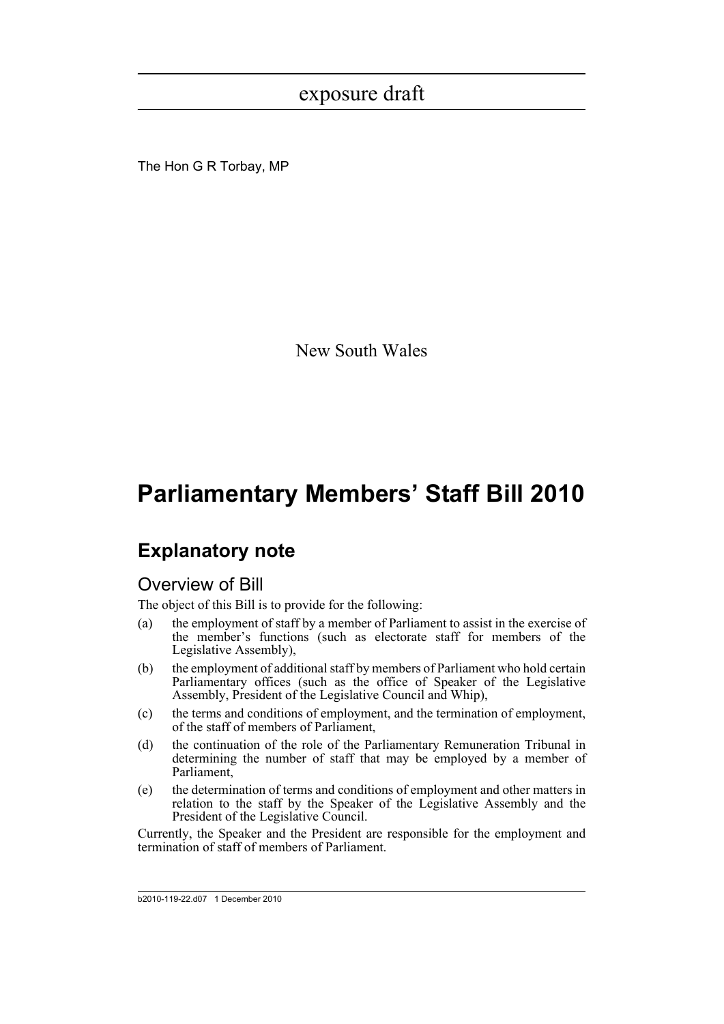The Hon G R Torbay, MP

New South Wales

# **Parliamentary Members' Staff Bill 2010**

# **Explanatory note**

### Overview of Bill

The object of this Bill is to provide for the following:

- (a) the employment of staff by a member of Parliament to assist in the exercise of the member's functions (such as electorate staff for members of the Legislative Assembly),
- (b) the employment of additional staff by members of Parliament who hold certain Parliamentary offices (such as the office of Speaker of the Legislative Assembly, President of the Legislative Council and Whip),
- (c) the terms and conditions of employment, and the termination of employment, of the staff of members of Parliament,
- (d) the continuation of the role of the Parliamentary Remuneration Tribunal in determining the number of staff that may be employed by a member of Parliament,
- (e) the determination of terms and conditions of employment and other matters in relation to the staff by the Speaker of the Legislative Assembly and the President of the Legislative Council.

Currently, the Speaker and the President are responsible for the employment and termination of staff of members of Parliament.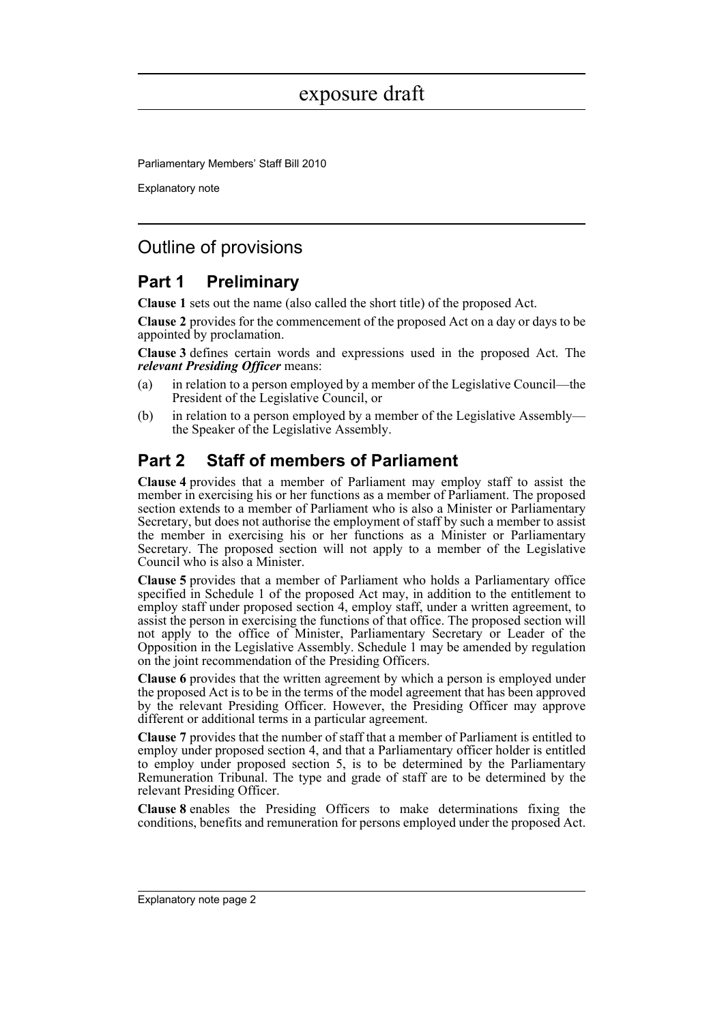Parliamentary Members' Staff Bill 2010

Explanatory note

## Outline of provisions

### **Part 1 Preliminary**

**Clause 1** sets out the name (also called the short title) of the proposed Act.

**Clause 2** provides for the commencement of the proposed Act on a day or days to be appointed by proclamation.

**Clause 3** defines certain words and expressions used in the proposed Act. The *relevant Presiding Officer* means:

- (a) in relation to a person employed by a member of the Legislative Council—the President of the Legislative Council, or
- (b) in relation to a person employed by a member of the Legislative Assembly the Speaker of the Legislative Assembly.

## **Part 2 Staff of members of Parliament**

**Clause 4** provides that a member of Parliament may employ staff to assist the member in exercising his or her functions as a member of Parliament. The proposed section extends to a member of Parliament who is also a Minister or Parliamentary Secretary, but does not authorise the employment of staff by such a member to assist the member in exercising his or her functions as a Minister or Parliamentary Secretary. The proposed section will not apply to a member of the Legislative Council who is also a Minister.

**Clause 5** provides that a member of Parliament who holds a Parliamentary office specified in Schedule 1 of the proposed Act may, in addition to the entitlement to employ staff under proposed section 4, employ staff, under a written agreement, to assist the person in exercising the functions of that office. The proposed section will not apply to the office of Minister, Parliamentary Secretary or Leader of the Opposition in the Legislative Assembly. Schedule 1 may be amended by regulation on the joint recommendation of the Presiding Officers.

**Clause 6** provides that the written agreement by which a person is employed under the proposed Act is to be in the terms of the model agreement that has been approved by the relevant Presiding Officer. However, the Presiding Officer may approve different or additional terms in a particular agreement.

**Clause 7** provides that the number of staff that a member of Parliament is entitled to employ under proposed section 4, and that a Parliamentary officer holder is entitled to employ under proposed section 5, is to be determined by the Parliamentary Remuneration Tribunal. The type and grade of staff are to be determined by the relevant Presiding Officer.

**Clause 8** enables the Presiding Officers to make determinations fixing the conditions, benefits and remuneration for persons employed under the proposed Act.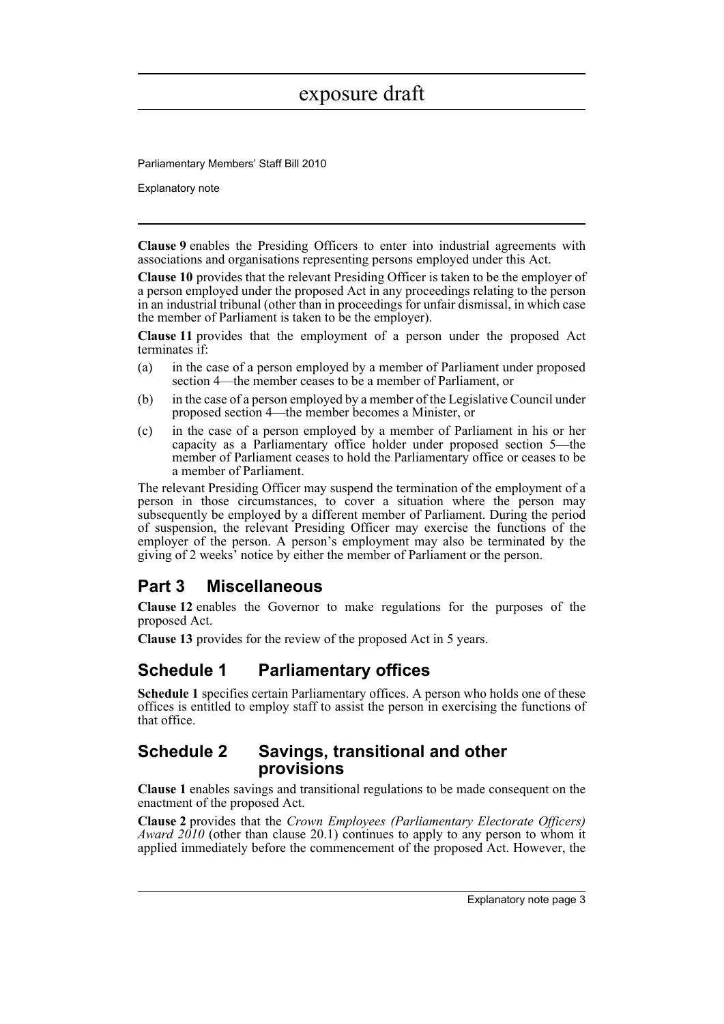Parliamentary Members' Staff Bill 2010

Explanatory note

**Clause 9** enables the Presiding Officers to enter into industrial agreements with associations and organisations representing persons employed under this Act.

**Clause 10** provides that the relevant Presiding Officer is taken to be the employer of a person employed under the proposed Act in any proceedings relating to the person in an industrial tribunal (other than in proceedings for unfair dismissal, in which case the member of Parliament is taken to be the employer).

**Clause 11** provides that the employment of a person under the proposed Act terminates if:

- (a) in the case of a person employed by a member of Parliament under proposed section 4—the member ceases to be a member of Parliament, or
- (b) in the case of a person employed by a member of the Legislative Council under proposed section 4—the member becomes a Minister, or
- (c) in the case of a person employed by a member of Parliament in his or her capacity as a Parliamentary office holder under proposed section 5—the member of Parliament ceases to hold the Parliamentary office or ceases to be a member of Parliament.

The relevant Presiding Officer may suspend the termination of the employment of a person in those circumstances, to cover a situation where the person may subsequently be employed by a different member of Parliament. During the period of suspension, the relevant Presiding Officer may exercise the functions of the employer of the person. A person's employment may also be terminated by the giving of 2 weeks' notice by either the member of Parliament or the person.

### **Part 3 Miscellaneous**

**Clause 12** enables the Governor to make regulations for the purposes of the proposed Act.

**Clause 13** provides for the review of the proposed Act in 5 years.

### **Schedule 1 Parliamentary offices**

**Schedule 1** specifies certain Parliamentary offices. A person who holds one of these offices is entitled to employ staff to assist the person in exercising the functions of that office.

### **Schedule 2 Savings, transitional and other provisions**

**Clause 1** enables savings and transitional regulations to be made consequent on the enactment of the proposed Act.

**Clause 2** provides that the *Crown Employees (Parliamentary Electorate Officers) Award 2010* (other than clause 20.1) continues to apply to any person to whom it applied immediately before the commencement of the proposed Act. However, the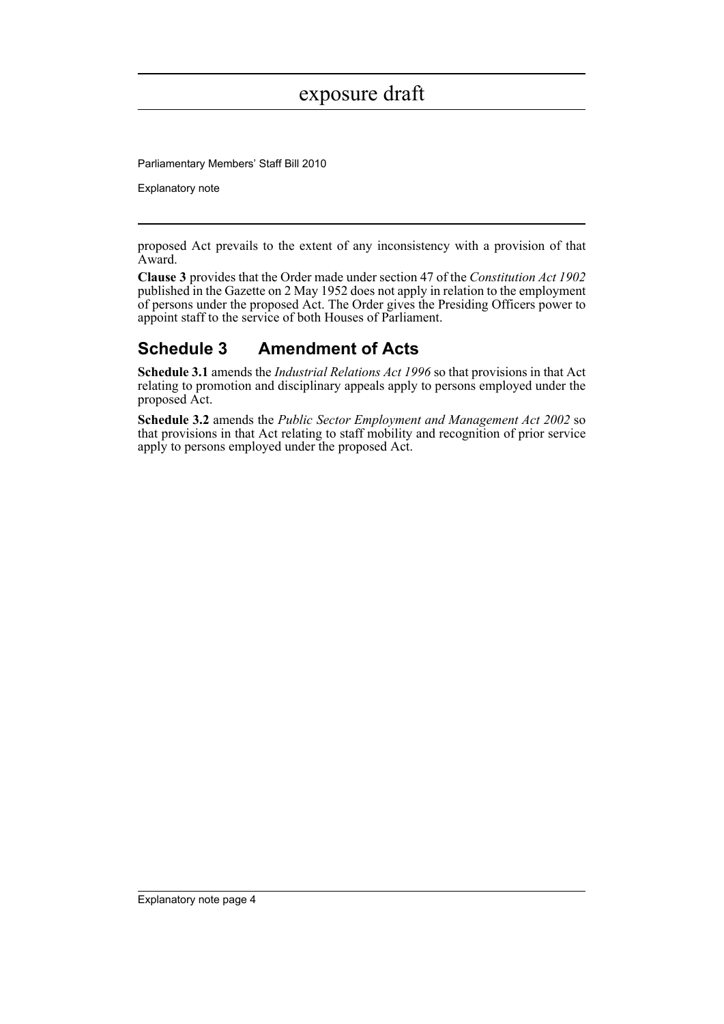Parliamentary Members' Staff Bill 2010

Explanatory note

proposed Act prevails to the extent of any inconsistency with a provision of that Award.

**Clause 3** provides that the Order made under section 47 of the *Constitution Act 1902* published in the Gazette on 2 May 1952 does not apply in relation to the employment of persons under the proposed Act. The Order gives the Presiding Officers power to appoint staff to the service of both Houses of Parliament.

## **Schedule 3 Amendment of Acts**

**Schedule 3.1** amends the *Industrial Relations Act 1996* so that provisions in that Act relating to promotion and disciplinary appeals apply to persons employed under the proposed Act.

**Schedule 3.2** amends the *Public Sector Employment and Management Act 2002* so that provisions in that Act relating to staff mobility and recognition of prior service apply to persons employed under the proposed Act.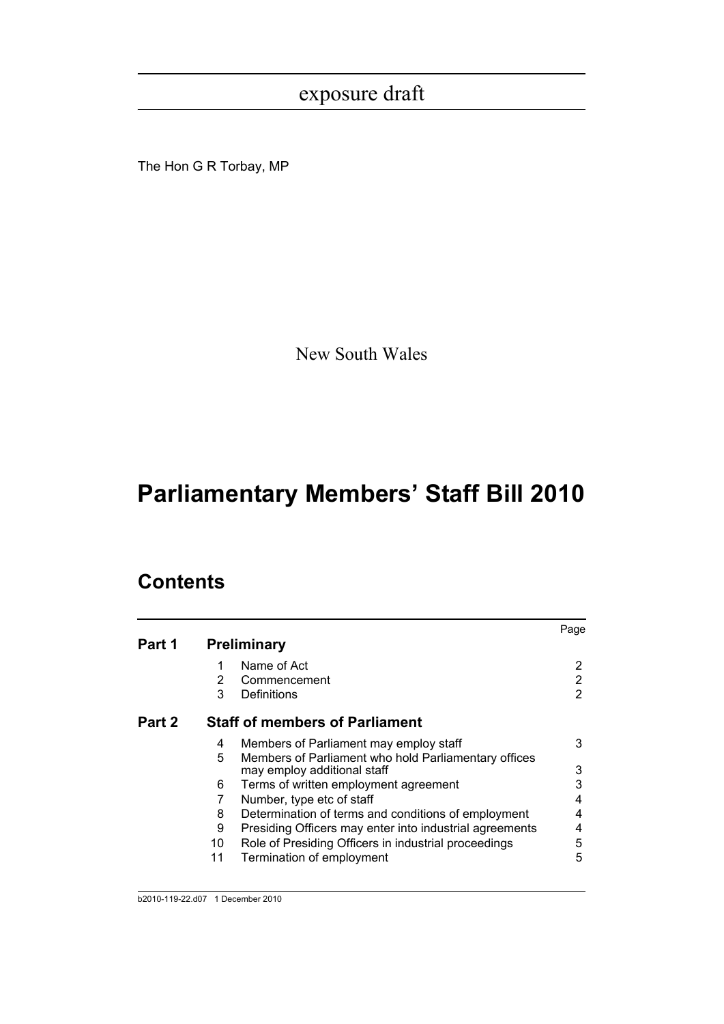The Hon G R Torbay, MP

New South Wales

# **Parliamentary Members' Staff Bill 2010**

# **Contents**

|        |                |                                                         | Page |
|--------|----------------|---------------------------------------------------------|------|
| Part 1 |                | <b>Preliminary</b>                                      |      |
|        | 1              | Name of Act                                             | 2    |
|        | $\overline{2}$ | Commencement                                            | 2    |
|        | 3              | Definitions                                             | 2    |
| Part 2 |                | <b>Staff of members of Parliament</b>                   |      |
|        | 4              | Members of Parliament may employ staff                  | 3    |
|        | 5              | Members of Parliament who hold Parliamentary offices    |      |
|        |                | may employ additional staff                             | 3    |
|        | 6              | Terms of written employment agreement                   | 3    |
|        | 7              | Number, type etc of staff                               | 4    |
|        | 8              | Determination of terms and conditions of employment     | 4    |
|        | 9              | Presiding Officers may enter into industrial agreements | 4    |
|        | 10             | Role of Presiding Officers in industrial proceedings    | 5    |
|        | 11             | Termination of employment                               | 5    |
|        |                |                                                         |      |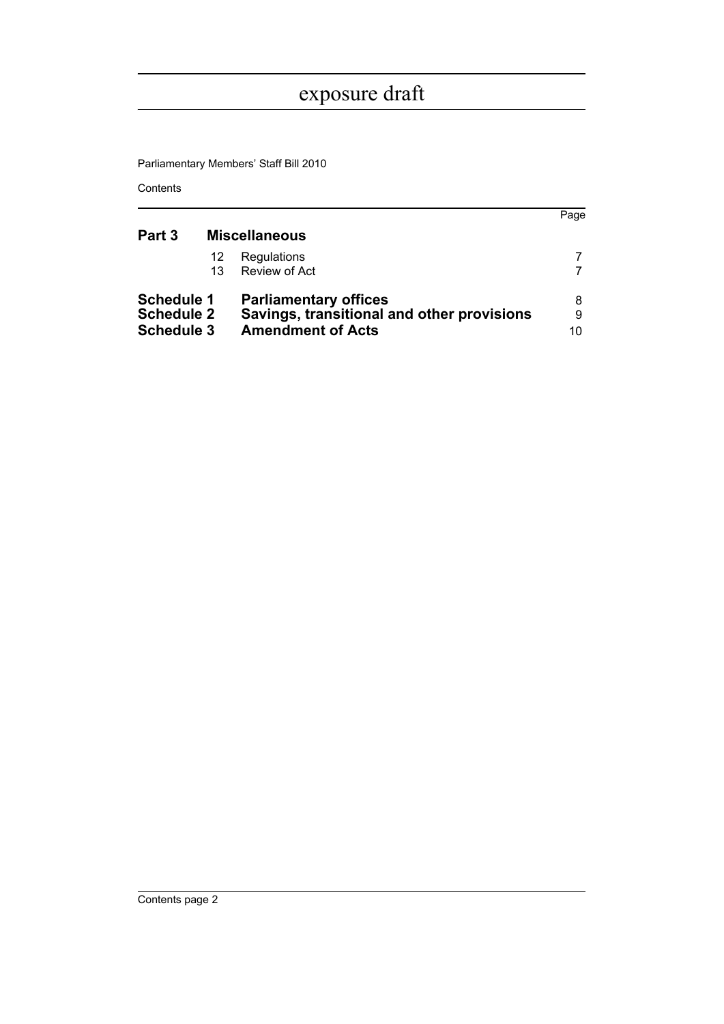Parliamentary Members' Staff Bill 2010

Contents

|                   |                      |                                            | Page |
|-------------------|----------------------|--------------------------------------------|------|
| Part 3            | <b>Miscellaneous</b> |                                            |      |
|                   | 12                   | Regulations                                |      |
|                   | 13                   | Review of Act                              |      |
| <b>Schedule 1</b> |                      | <b>Parliamentary offices</b>               | 8    |
| <b>Schedule 2</b> |                      | Savings, transitional and other provisions | 9    |
| <b>Schedule 3</b> |                      | <b>Amendment of Acts</b>                   | 10   |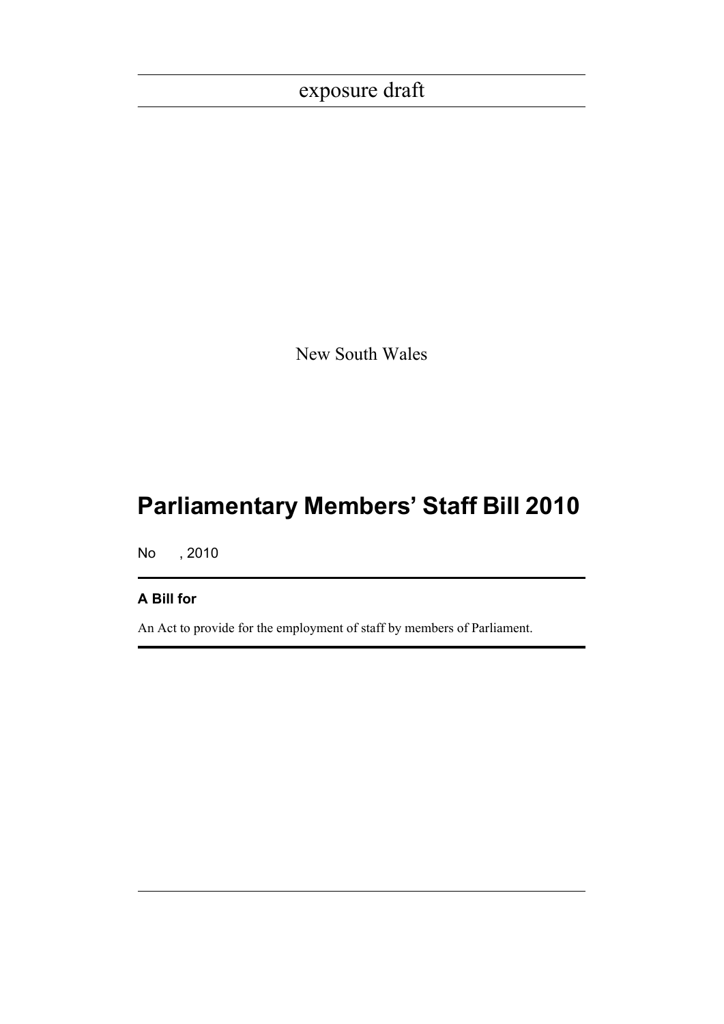New South Wales

# **Parliamentary Members' Staff Bill 2010**

No , 2010

### **A Bill for**

An Act to provide for the employment of staff by members of Parliament.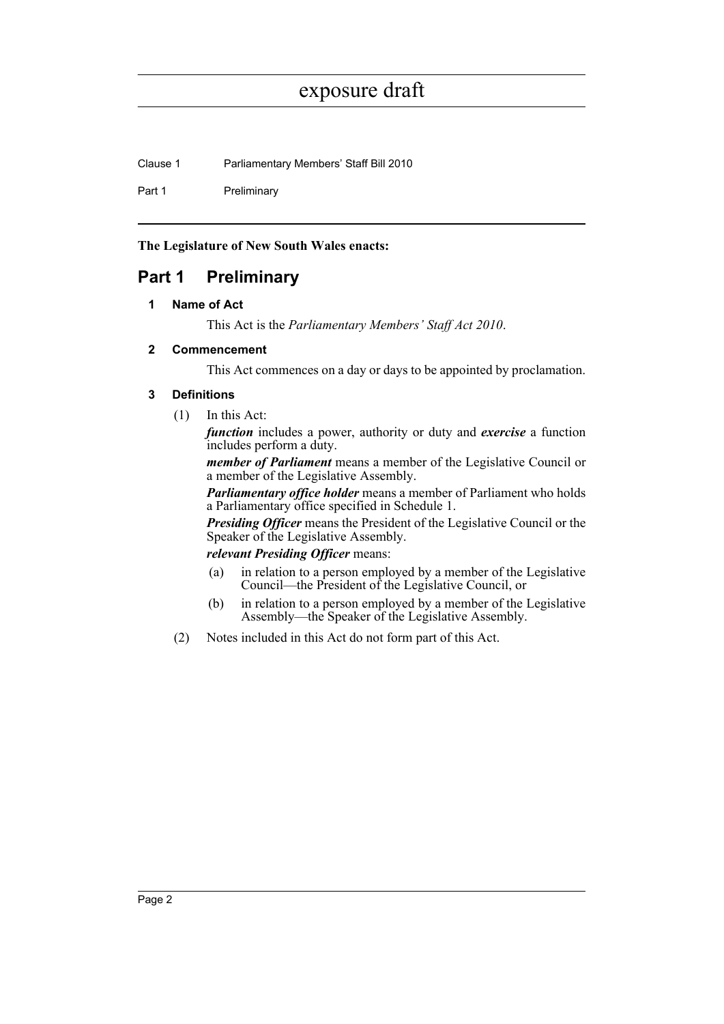Clause 1 Parliamentary Members' Staff Bill 2010

Part 1 Preliminary

**The Legislature of New South Wales enacts:**

## <span id="page-7-1"></span><span id="page-7-0"></span>**Part 1 Preliminary**

#### **1 Name of Act**

This Act is the *Parliamentary Members' Staff Act 2010*.

#### <span id="page-7-2"></span>**2 Commencement**

This Act commences on a day or days to be appointed by proclamation.

#### <span id="page-7-3"></span>**3 Definitions**

(1) In this Act:

*function* includes a power, authority or duty and *exercise* a function includes perform a duty.

*member of Parliament* means a member of the Legislative Council or a member of the Legislative Assembly.

*Parliamentary office holder* means a member of Parliament who holds a Parliamentary office specified in Schedule 1.

*Presiding Officer* means the President of the Legislative Council or the Speaker of the Legislative Assembly.

#### *relevant Presiding Officer* means:

- (a) in relation to a person employed by a member of the Legislative Council—the President of the Legislative Council, or
- (b) in relation to a person employed by a member of the Legislative Assembly—the Speaker of the Legislative Assembly.
- (2) Notes included in this Act do not form part of this Act.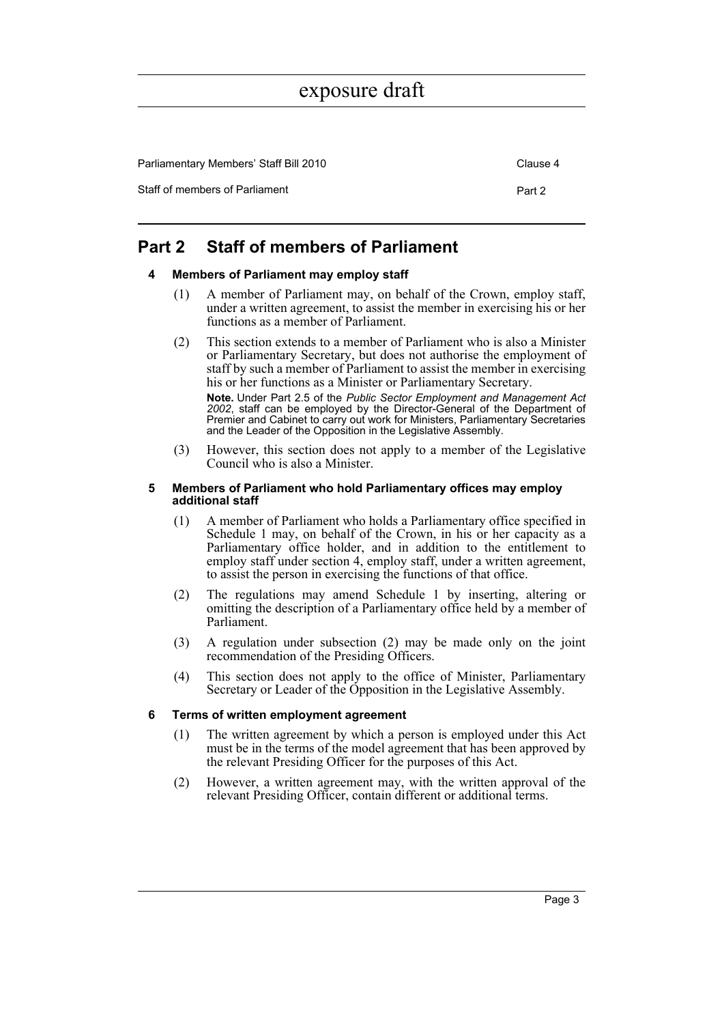Parliamentary Members' Staff Bill 2010 Clause 4 Staff of members of Parliament **Part 2** Part 2

### <span id="page-8-1"></span><span id="page-8-0"></span>**Part 2 Staff of members of Parliament**

#### **4 Members of Parliament may employ staff**

- (1) A member of Parliament may, on behalf of the Crown, employ staff, under a written agreement, to assist the member in exercising his or her functions as a member of Parliament.
- (2) This section extends to a member of Parliament who is also a Minister or Parliamentary Secretary, but does not authorise the employment of staff by such a member of Parliament to assist the member in exercising his or her functions as a Minister or Parliamentary Secretary.

**Note.** Under Part 2.5 of the *Public Sector Employment and Management Act 2002*, staff can be employed by the Director-General of the Department of Premier and Cabinet to carry out work for Ministers, Parliamentary Secretaries and the Leader of the Opposition in the Legislative Assembly.

(3) However, this section does not apply to a member of the Legislative Council who is also a Minister.

#### <span id="page-8-2"></span>**5 Members of Parliament who hold Parliamentary offices may employ additional staff**

- (1) A member of Parliament who holds a Parliamentary office specified in Schedule 1 may, on behalf of the Crown, in his or her capacity as a Parliamentary office holder, and in addition to the entitlement to employ staff under section 4, employ staff, under a written agreement, to assist the person in exercising the functions of that office.
- (2) The regulations may amend Schedule 1 by inserting, altering or omitting the description of a Parliamentary office held by a member of Parliament.
- (3) A regulation under subsection (2) may be made only on the joint recommendation of the Presiding Officers.
- (4) This section does not apply to the office of Minister, Parliamentary Secretary or Leader of the Opposition in the Legislative Assembly.

#### <span id="page-8-3"></span>**6 Terms of written employment agreement**

- (1) The written agreement by which a person is employed under this Act must be in the terms of the model agreement that has been approved by the relevant Presiding Officer for the purposes of this Act.
- (2) However, a written agreement may, with the written approval of the relevant Presiding Officer, contain different or additional terms.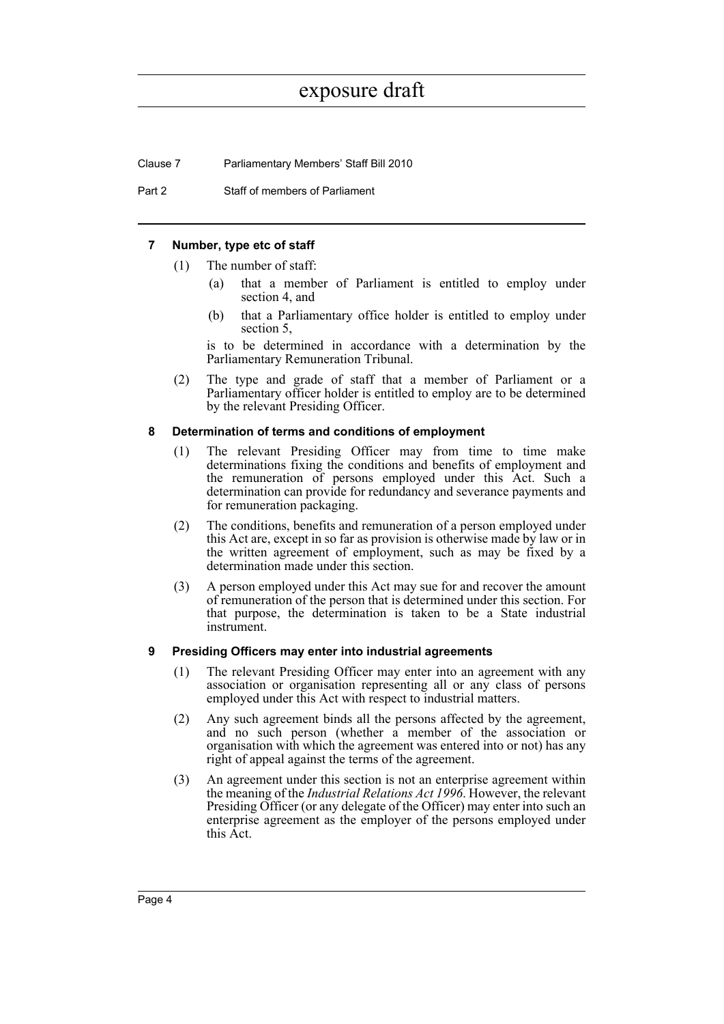Clause 7 Parliamentary Members' Staff Bill 2010

Part 2 Staff of members of Parliament

#### <span id="page-9-0"></span>**7 Number, type etc of staff**

- (1) The number of staff:
	- (a) that a member of Parliament is entitled to employ under section 4, and
	- (b) that a Parliamentary office holder is entitled to employ under section 5,

is to be determined in accordance with a determination by the Parliamentary Remuneration Tribunal.

(2) The type and grade of staff that a member of Parliament or a Parliamentary officer holder is entitled to employ are to be determined by the relevant Presiding Officer.

#### <span id="page-9-1"></span>**8 Determination of terms and conditions of employment**

- (1) The relevant Presiding Officer may from time to time make determinations fixing the conditions and benefits of employment and the remuneration of persons employed under this Act. Such a determination can provide for redundancy and severance payments and for remuneration packaging.
- (2) The conditions, benefits and remuneration of a person employed under this Act are, except in so far as provision is otherwise made by law or in the written agreement of employment, such as may be fixed by a determination made under this section.
- (3) A person employed under this Act may sue for and recover the amount of remuneration of the person that is determined under this section. For that purpose, the determination is taken to be a State industrial instrument.

#### <span id="page-9-2"></span>**9 Presiding Officers may enter into industrial agreements**

- (1) The relevant Presiding Officer may enter into an agreement with any association or organisation representing all or any class of persons employed under this Act with respect to industrial matters.
- (2) Any such agreement binds all the persons affected by the agreement, and no such person (whether a member of the association or organisation with which the agreement was entered into or not) has any right of appeal against the terms of the agreement.
- (3) An agreement under this section is not an enterprise agreement within the meaning of the *Industrial Relations Act 1996*. However, the relevant Presiding Officer (or any delegate of the Officer) may enter into such an enterprise agreement as the employer of the persons employed under this Act.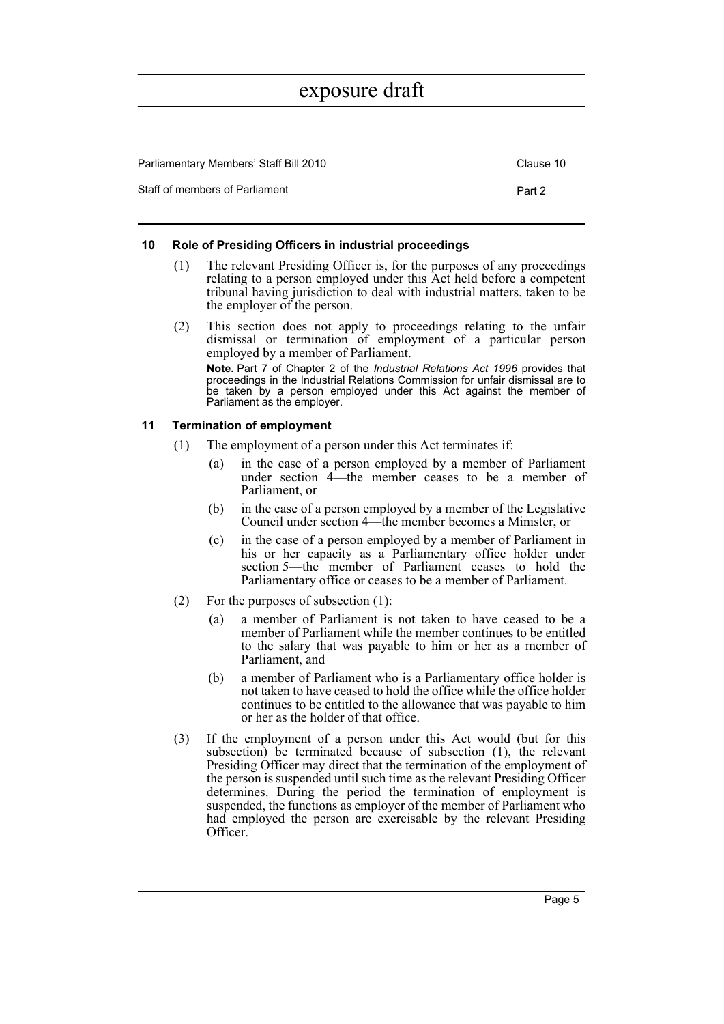| Parliamentary Members' Staff Bill 2010 | Clause 10 |
|----------------------------------------|-----------|
| Staff of members of Parliament         | Part 2    |

#### <span id="page-10-0"></span>**10 Role of Presiding Officers in industrial proceedings**

- (1) The relevant Presiding Officer is, for the purposes of any proceedings relating to a person employed under this Act held before a competent tribunal having jurisdiction to deal with industrial matters, taken to be the employer of the person.
- (2) This section does not apply to proceedings relating to the unfair dismissal or termination of employment of a particular person employed by a member of Parliament.

**Note.** Part 7 of Chapter 2 of the *Industrial Relations Act 1996* provides that proceedings in the Industrial Relations Commission for unfair dismissal are to be taken by a person employed under this Act against the member of Parliament as the employer.

#### <span id="page-10-1"></span>**11 Termination of employment**

- (1) The employment of a person under this Act terminates if:
	- (a) in the case of a person employed by a member of Parliament under section 4—the member ceases to be a member of Parliament, or
	- (b) in the case of a person employed by a member of the Legislative Council under section 4—the member becomes a Minister, or
	- (c) in the case of a person employed by a member of Parliament in his or her capacity as a Parliamentary office holder under section 5—the member of Parliament ceases to hold the Parliamentary office or ceases to be a member of Parliament.
- (2) For the purposes of subsection (1):
	- (a) a member of Parliament is not taken to have ceased to be a member of Parliament while the member continues to be entitled to the salary that was payable to him or her as a member of Parliament, and
	- (b) a member of Parliament who is a Parliamentary office holder is not taken to have ceased to hold the office while the office holder continues to be entitled to the allowance that was payable to him or her as the holder of that office.
- (3) If the employment of a person under this Act would (but for this subsection) be terminated because of subsection (1), the relevant Presiding Officer may direct that the termination of the employment of the person is suspended until such time as the relevant Presiding Officer determines. During the period the termination of employment is suspended, the functions as employer of the member of Parliament who had employed the person are exercisable by the relevant Presiding Officer.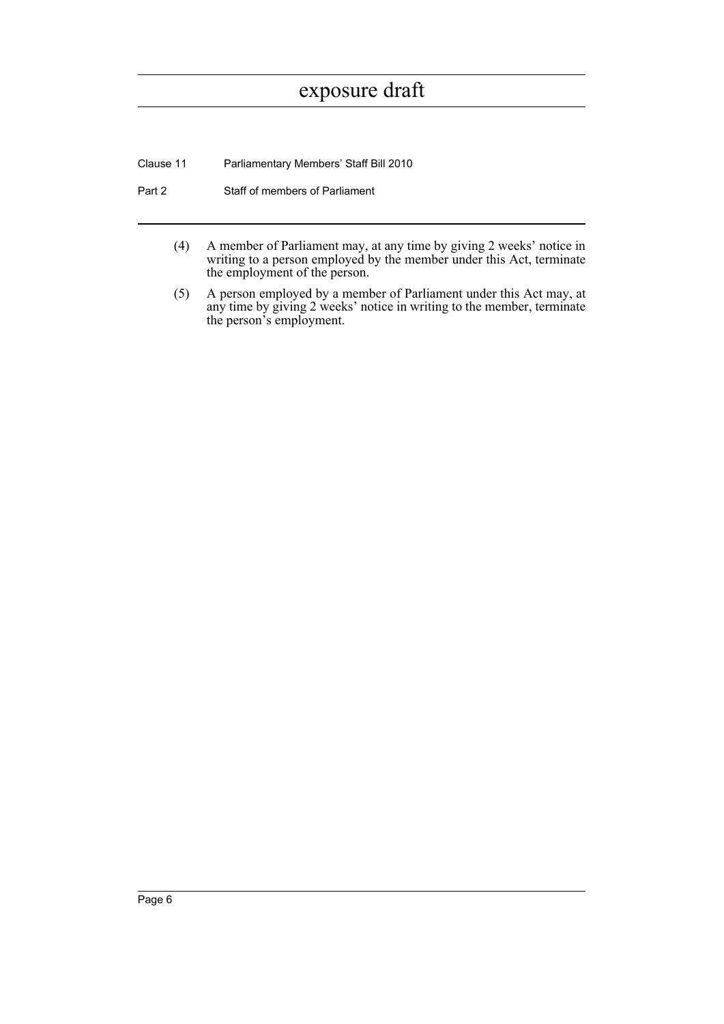Clause 11 Parliamentary Members' Staff Bill 2010

- Part 2 Staff of members of Parliament
	- (4) A member of Parliament may, at any time by giving 2 weeks' notice in writing to a person employed by the member under this Act, terminate the employment of the person.
	- (5) A person employed by a member of Parliament under this Act may, at any time by giving 2 weeks' notice in writing to the member, terminate the person's employment.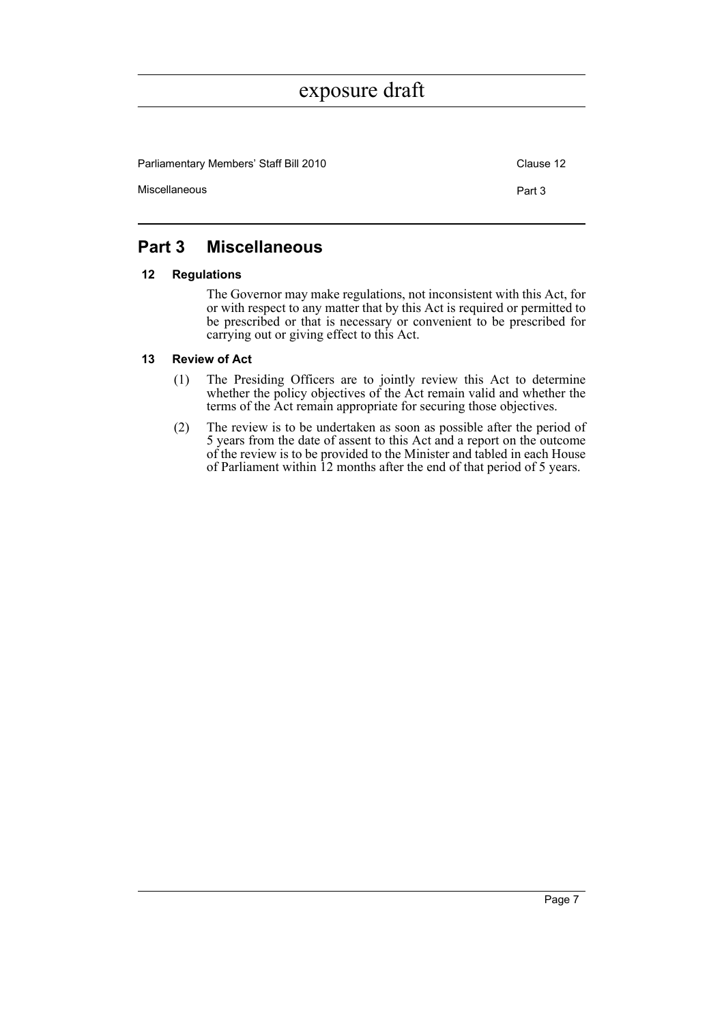Parliamentary Members' Staff Bill 2010 Clause 12 Miscellaneous **Part 3** 

### <span id="page-12-0"></span>**Part 3 Miscellaneous**

#### <span id="page-12-1"></span>**12 Regulations**

The Governor may make regulations, not inconsistent with this Act, for or with respect to any matter that by this Act is required or permitted to be prescribed or that is necessary or convenient to be prescribed for carrying out or giving effect to this Act.

#### <span id="page-12-2"></span>**13 Review of Act**

- (1) The Presiding Officers are to jointly review this Act to determine whether the policy objectives of the Act remain valid and whether the terms of the Act remain appropriate for securing those objectives.
- (2) The review is to be undertaken as soon as possible after the period of 5 years from the date of assent to this Act and a report on the outcome of the review is to be provided to the Minister and tabled in each House of Parliament within 12 months after the end of that period of 5 years.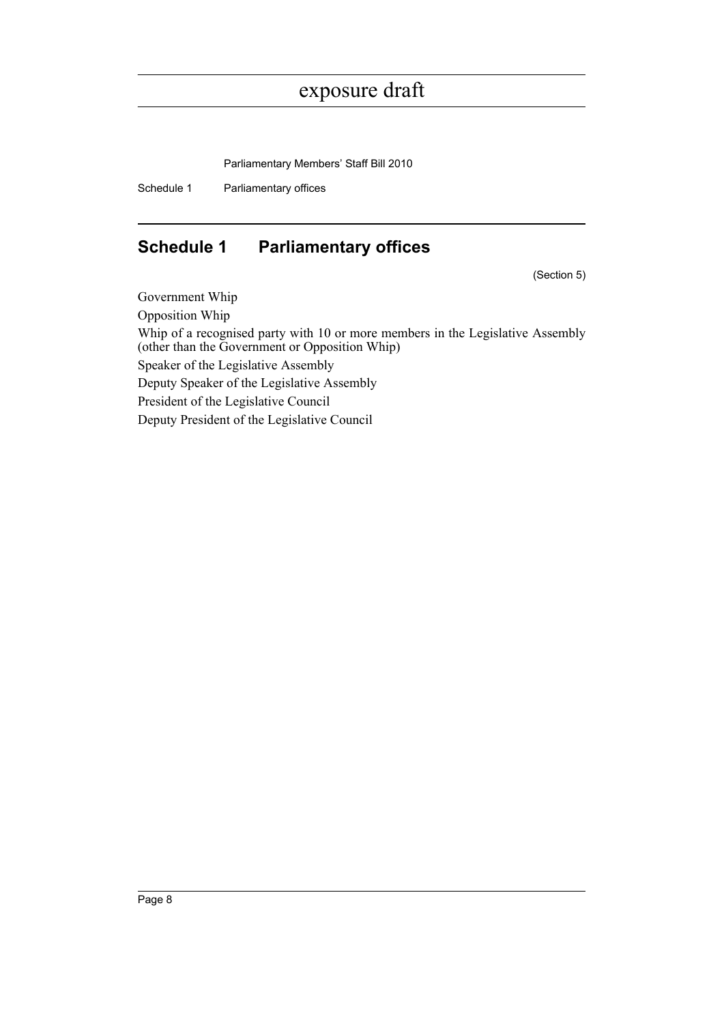Parliamentary Members' Staff Bill 2010

Schedule 1 Parliamentary offices

## <span id="page-13-0"></span>**Schedule 1 Parliamentary offices**

(Section 5)

Government Whip Opposition Whip Whip of a recognised party with 10 or more members in the Legislative Assembly (other than the Government or Opposition Whip) Speaker of the Legislative Assembly Deputy Speaker of the Legislative Assembly President of the Legislative Council Deputy President of the Legislative Council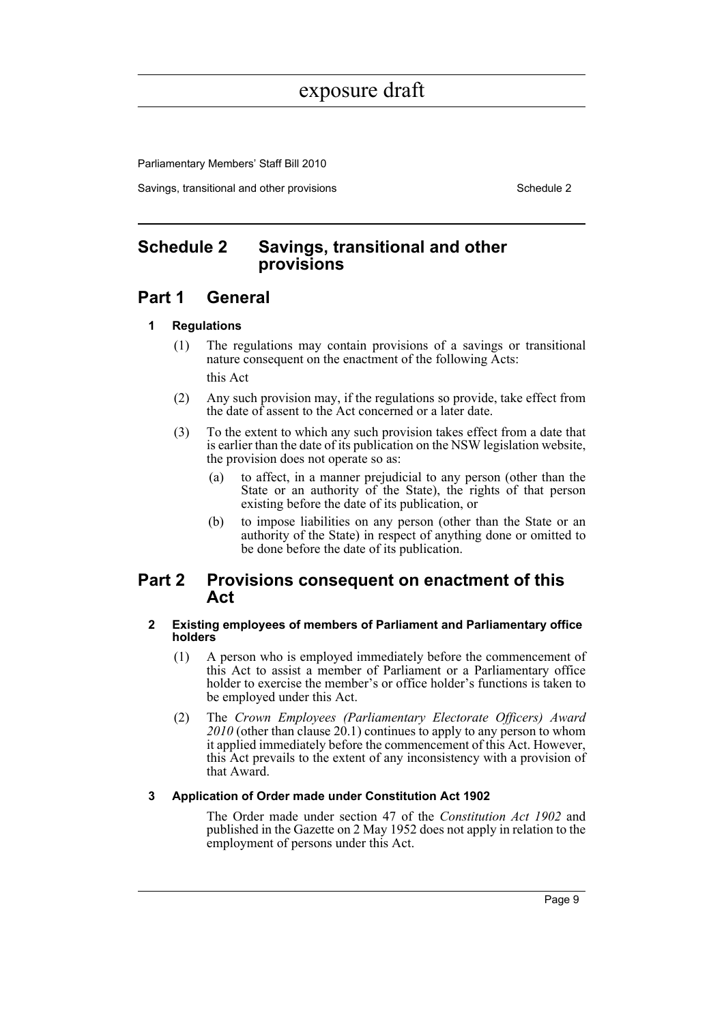Parliamentary Members' Staff Bill 2010

Savings, transitional and other provisions Schedule 2 and Schedule 2 and Schedule 2

### <span id="page-14-0"></span>**Schedule 2 Savings, transitional and other provisions**

### **Part 1 General**

#### **1 Regulations**

- (1) The regulations may contain provisions of a savings or transitional nature consequent on the enactment of the following Acts: this Act
- (2) Any such provision may, if the regulations so provide, take effect from the date of assent to the Act concerned or a later date.
- (3) To the extent to which any such provision takes effect from a date that is earlier than the date of its publication on the NSW legislation website, the provision does not operate so as:
	- (a) to affect, in a manner prejudicial to any person (other than the State or an authority of the State), the rights of that person existing before the date of its publication, or
	- (b) to impose liabilities on any person (other than the State or an authority of the State) in respect of anything done or omitted to be done before the date of its publication.

### **Part 2 Provisions consequent on enactment of this Act**

#### **2 Existing employees of members of Parliament and Parliamentary office holders**

- (1) A person who is employed immediately before the commencement of this Act to assist a member of Parliament or a Parliamentary office holder to exercise the member's or office holder's functions is taken to be employed under this Act.
- (2) The *Crown Employees (Parliamentary Electorate Officers) Award 2010* (other than clause 20.1) continues to apply to any person to whom it applied immediately before the commencement of this Act. However, this Act prevails to the extent of any inconsistency with a provision of that Award.

#### **3 Application of Order made under Constitution Act 1902**

The Order made under section 47 of the *Constitution Act 1902* and published in the Gazette on 2 May 1952 does not apply in relation to the employment of persons under this Act.